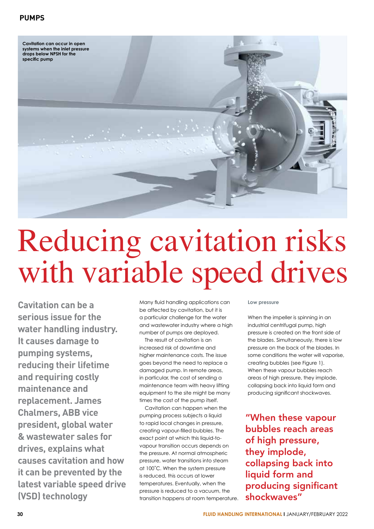

## Reducing cavitation risks with variable speed drives

**Cavitation can be a serious issue for the water handling industry. It causes damage to pumping systems, reducing their lifetime and requiring costly maintenance and replacement. James Chalmers, ABB vice president, global water & wastewater sales for drives, explains what causes cavitation and how it can be prevented by the latest variable speed drive (VSD) technology**

Many fluid handling applications can be affected by cavitation, but it is a particular challenge for the water and wastewater industry where a high number of pumps are deployed.

The result of cavitation is an increased risk of downtime and higher maintenance costs. The issue goes beyond the need to replace a damaged pump. In remote areas, in particular, the cost of sending a maintenance team with heavy lifting equipment to the site might be many times the cost of the pump itself.

Cavitation can happen when the pumping process subjects a liquid to rapid local changes in pressure, creating vapour-filled bubbles. The exact point at which this liquid-tovapour transition occurs depends on the pressure. At normal atmospheric pressure, water transitions into steam at 100˚C. When the system pressure is reduced, this occurs at lower temperatures. Eventually, when the pressure is reduced to a vacuum, the transition happens at room temperature. **Low pressure**

When the impeller is spinning in an industrial centrifugal pump, high pressure is created on the front side of the blades. Simultaneously, there is low pressure on the back of the blades. In some conditions the water will vaporise, creating bubbles (see Figure 1). When these vapour bubbles reach areas of high pressure, they implode, collapsing back into liquid form and producing significant shockwaves.

"When these vapour bubbles reach areas of high pressure, they implode, collapsing back into liquid form and producing significant shockwaves"